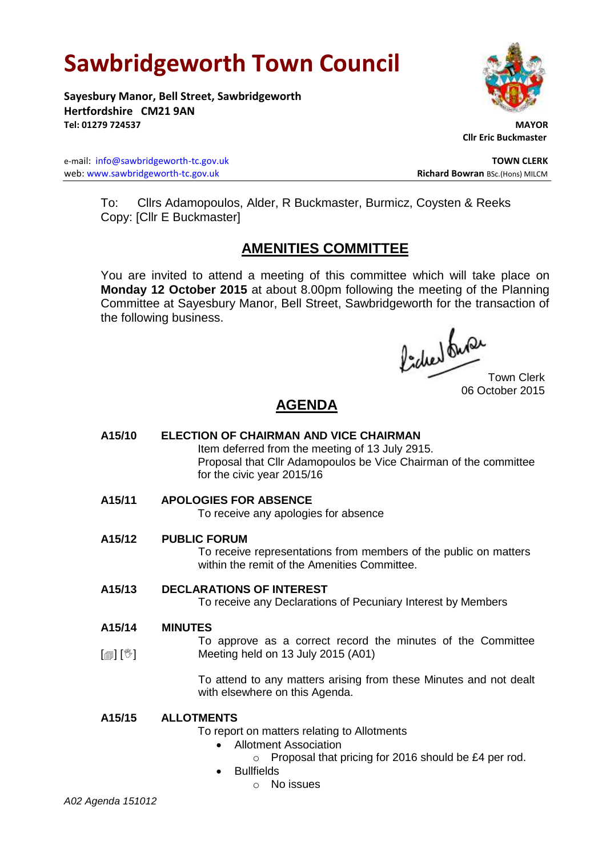# **Sawbridgeworth Town Council**

**Sayesbury Manor, Bell Street, Sawbridgeworth Hertfordshire CM21 9AN Tel: 01279 724537 MAYOR**

e-mail: [info@sawbridgeworth-tc.gov.uk](mailto:info@sawbridgeworth-tc.gov.uk) **TOWN CLERK** web: www.sawbridgeworth-tc.gov.uk<br> **Richard Bowran** BSc.(Hons) MILCM

 **Cllr Eric Buckmaster**

To: Cllrs Adamopoulos, Alder, R Buckmaster, Burmicz, Coysten & Reeks Copy: [Cllr E Buckmaster]

# **AMENITIES COMMITTEE**

You are invited to attend a meeting of this committee which will take place on **Monday 12 October 2015** at about 8.00pm following the meeting of the Planning Committee at Sayesbury Manor, Bell Street, Sawbridgeworth for the transaction of the following business.

focuer duran

06 October 2015

# **AGENDA**

- **A15/10 ELECTION OF CHAIRMAN AND VICE CHAIRMAN** Item deferred from the meeting of 13 July 2915. Proposal that Cllr Adamopoulos be Vice Chairman of the committee for the civic year 2015/16
- **A15/11 APOLOGIES FOR ABSENCE**

To receive any apologies for absence

**A15/12 PUBLIC FORUM**

To receive representations from members of the public on matters within the remit of the Amenities Committee.

# **A15/13 DECLARATIONS OF INTEREST**

To receive any Declarations of Pecuniary Interest by Members

#### **A15/14 MINUTES**

[ [】 [<sup>32</sup>] To approve as a correct record the minutes of the Committee Meeting held on 13 July 2015 (A01)

> To attend to any matters arising from these Minutes and not dealt with elsewhere on this Agenda.

# **A15/15 ALLOTMENTS**

To report on matters relating to Allotments

- Allotment Association
	- o Proposal that pricing for 2016 should be £4 per rod.
- **Bullfields** 
	- o No issues